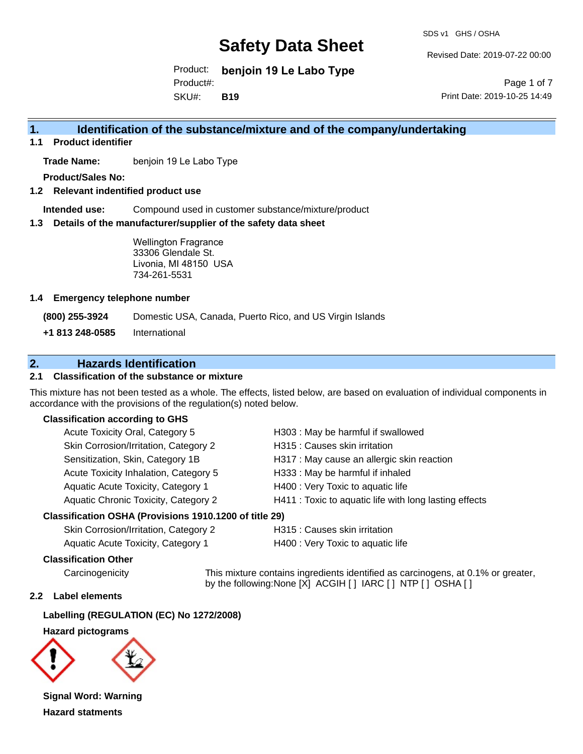SDS v1 GHS / OSHA

Revised Date: 2019-07-22 00:00

Product: **benjoin 19 Le Labo Type** SKU#: Product#: **B19**

Page 1 of 7 Print Date: 2019-10-25 14:49

## **1. Identification of the substance/mixture and of the company/undertaking**

**1.1 Product identifier**

**Trade Name:** benjoin 19 Le Labo Type

**Product/Sales No:**

**1.2 Relevant indentified product use**

**Intended use:** Compound used in customer substance/mixture/product

**1.3 Details of the manufacturer/supplier of the safety data sheet**

Wellington Fragrance 33306 Glendale St. Livonia, MI 48150 USA 734-261-5531

#### **1.4 Emergency telephone number**

**(800) 255-3924** Domestic USA, Canada, Puerto Rico, and US Virgin Islands

**+1 813 248-0585** International

### **2. Hazards Identification**

#### **2.1 Classification of the substance or mixture**

This mixture has not been tested as a whole. The effects, listed below, are based on evaluation of individual components in accordance with the provisions of the regulation(s) noted below.

#### **Classification according to GHS**

| Acute Toxicity Oral, Category 5       | H303 : May be harmful if swallowed                     |
|---------------------------------------|--------------------------------------------------------|
| Skin Corrosion/Irritation, Category 2 | H315 : Causes skin irritation                          |
| Sensitization, Skin, Category 1B      | H317 : May cause an allergic skin reaction             |
| Acute Toxicity Inhalation, Category 5 | H333: May be harmful if inhaled                        |
| Aquatic Acute Toxicity, Category 1    | H400 : Very Toxic to aquatic life                      |
| Aquatic Chronic Toxicity, Category 2  | H411 : Toxic to aquatic life with long lasting effects |
|                                       |                                                        |

#### **Classification OSHA (Provisions 1910.1200 of title 29)**

| Skin Corrosion/Irritation, Category 2 |  |
|---------------------------------------|--|
| Aquatic Acute Toxicity, Category 1    |  |

H315 : Causes skin irritation H400 : Very Toxic to aquatic life

#### **Classification Other**

Carcinogenicity This mixture contains ingredients identified as carcinogens, at 0.1% or greater, by the following:None [X] ACGIH [ ] IARC [ ] NTP [ ] OSHA [ ]

#### **2.2 Label elements**

#### **Labelling (REGULATION (EC) No 1272/2008)**

#### **Hazard pictograms**



**Signal Word: Warning Hazard statments**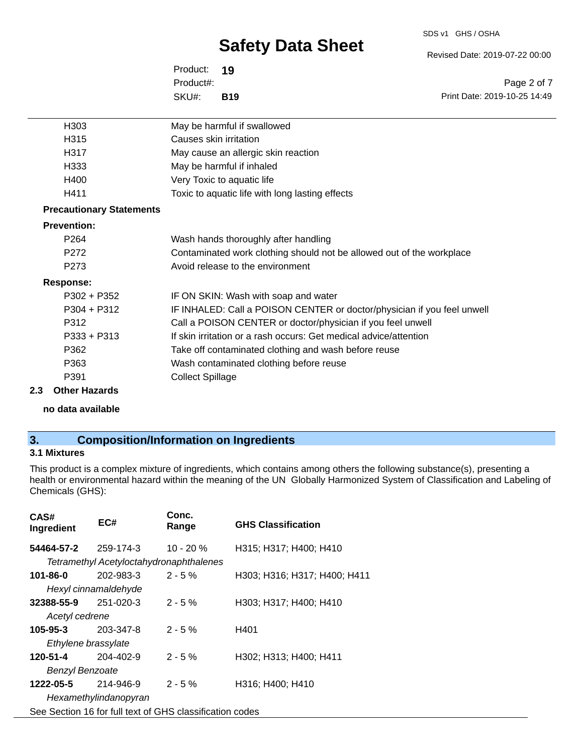#### SDS v1 GHS / OSHA

# **Safety Data Sheet**

Revised Date: 2019-07-22 00:00

Print Date: 2019-10-25 14:49

Page 2 of 7

Product: **19** SKU#: Product#: **B19**

| H <sub>303</sub>                | May be harmful if swallowed                                             |
|---------------------------------|-------------------------------------------------------------------------|
| H315                            | Causes skin irritation                                                  |
| H317                            | May cause an allergic skin reaction                                     |
| H333                            | May be harmful if inhaled                                               |
| H400                            | Very Toxic to aquatic life                                              |
| H411                            | Toxic to aquatic life with long lasting effects                         |
| <b>Precautionary Statements</b> |                                                                         |
| <b>Prevention:</b>              |                                                                         |
| P <sub>264</sub>                | Wash hands thoroughly after handling                                    |
| P272                            | Contaminated work clothing should not be allowed out of the workplace   |
| P273                            | Avoid release to the environment                                        |
| <b>Response:</b>                |                                                                         |
| $P302 + P352$                   | IF ON SKIN: Wash with soap and water                                    |
| $P304 + P312$                   | IF INHALED: Call a POISON CENTER or doctor/physician if you feel unwell |
| P312                            | Call a POISON CENTER or doctor/physician if you feel unwell             |
| $P333 + P313$                   | If skin irritation or a rash occurs: Get medical advice/attention       |
| P362                            | Take off contaminated clothing and wash before reuse                    |
| P363                            | Wash contaminated clothing before reuse                                 |
| P391                            | <b>Collect Spillage</b>                                                 |
|                                 |                                                                         |

**2.3 Other Hazards**

**no data available**

# **3. Composition/Information on Ingredients**

### **3.1 Mixtures**

This product is a complex mixture of ingredients, which contains among others the following substance(s), presenting a health or environmental hazard within the meaning of the UN Globally Harmonized System of Classification and Labeling of Chemicals (GHS):

| CAS#<br>Ingredient     | EC#                                                      | Conc.<br>Range | <b>GHS Classification</b>    |
|------------------------|----------------------------------------------------------|----------------|------------------------------|
| 54464-57-2             | 259-174-3                                                | $10 - 20 \%$   | H315; H317; H400; H410       |
|                        | Tetramethyl Acetyloctahydronaphthalenes                  |                |                              |
| 101-86-0               | 202-983-3                                                | $2 - 5%$       | H303; H316; H317; H400; H411 |
|                        | Hexyl cinnamaldehyde                                     |                |                              |
| 32388-55-9             | 251-020-3                                                | $2 - 5%$       | H303; H317; H400; H410       |
| Acetyl cedrene         |                                                          |                |                              |
| 105-95-3               | 203-347-8                                                | $2 - 5%$       | H401                         |
| Ethylene brassylate    |                                                          |                |                              |
| 120-51-4               | 204-402-9                                                | $2 - 5%$       | H302; H313; H400; H411       |
| <b>Benzyl Benzoate</b> |                                                          |                |                              |
| 1222-05-5              | 214-946-9                                                | $2 - 5%$       | H316; H400; H410             |
|                        | Hexamethylindanopyran                                    |                |                              |
|                        | See Section 16 for full text of GHS classification codes |                |                              |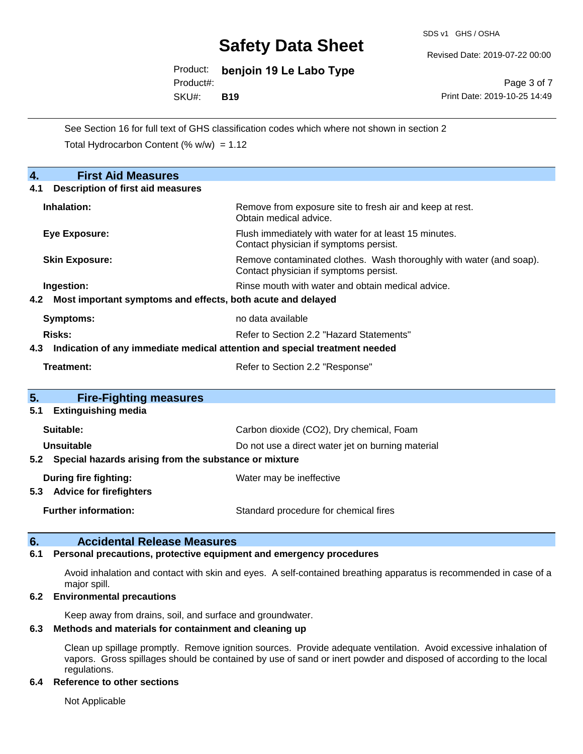SDS v1 GHS / OSHA

Revised Date: 2019-07-22 00:00

Product: **benjoin 19 Le Labo Type** Product#:

SKU#: **B19**

Page 3 of 7 Print Date: 2019-10-25 14:49

See Section 16 for full text of GHS classification codes which where not shown in section 2 Total Hydrocarbon Content  $(\% w/w) = 1.12$ 

| 4.<br><b>First Aid Measures</b>                                                   |                                                                                                               |  |  |  |  |
|-----------------------------------------------------------------------------------|---------------------------------------------------------------------------------------------------------------|--|--|--|--|
| <b>Description of first aid measures</b><br>4.1                                   |                                                                                                               |  |  |  |  |
| Inhalation:                                                                       | Remove from exposure site to fresh air and keep at rest.<br>Obtain medical advice.                            |  |  |  |  |
| Eye Exposure:                                                                     | Flush immediately with water for at least 15 minutes.<br>Contact physician if symptoms persist.               |  |  |  |  |
| <b>Skin Exposure:</b>                                                             | Remove contaminated clothes. Wash thoroughly with water (and soap).<br>Contact physician if symptoms persist. |  |  |  |  |
| Ingestion:                                                                        | Rinse mouth with water and obtain medical advice.                                                             |  |  |  |  |
| Most important symptoms and effects, both acute and delayed<br>4.2                |                                                                                                               |  |  |  |  |
| no data available<br><b>Symptoms:</b>                                             |                                                                                                               |  |  |  |  |
| Risks:                                                                            | Refer to Section 2.2 "Hazard Statements"                                                                      |  |  |  |  |
| Indication of any immediate medical attention and special treatment needed<br>4.3 |                                                                                                               |  |  |  |  |
| <b>Treatment:</b>                                                                 | Refer to Section 2.2 "Response"                                                                               |  |  |  |  |
|                                                                                   |                                                                                                               |  |  |  |  |
| 5.<br><b>Fire-Fighting measures</b>                                               |                                                                                                               |  |  |  |  |
| <b>Extinguishing media</b><br>5.1                                                 |                                                                                                               |  |  |  |  |
| Suitable:                                                                         | Carbon dioxide (CO2), Dry chemical, Foam                                                                      |  |  |  |  |
| Unsuitable                                                                        | Do not use a direct water jet on burning material                                                             |  |  |  |  |
| Special hazards arising from the substance or mixture<br>$5.2^{\circ}$            |                                                                                                               |  |  |  |  |
| During fire fighting:                                                             | Water may be ineffective                                                                                      |  |  |  |  |
| 5.3 Advice for firefighters                                                       |                                                                                                               |  |  |  |  |
| <b>Further information:</b>                                                       | Standard procedure for chemical fires                                                                         |  |  |  |  |

### **6. Accidental Release Measures**

#### **6.1 Personal precautions, protective equipment and emergency procedures**

Avoid inhalation and contact with skin and eyes. A self-contained breathing apparatus is recommended in case of a major spill.

#### **6.2 Environmental precautions**

Keep away from drains, soil, and surface and groundwater.

#### **6.3 Methods and materials for containment and cleaning up**

Clean up spillage promptly. Remove ignition sources. Provide adequate ventilation. Avoid excessive inhalation of vapors. Gross spillages should be contained by use of sand or inert powder and disposed of according to the local regulations.

#### **6.4 Reference to other sections**

Not Applicable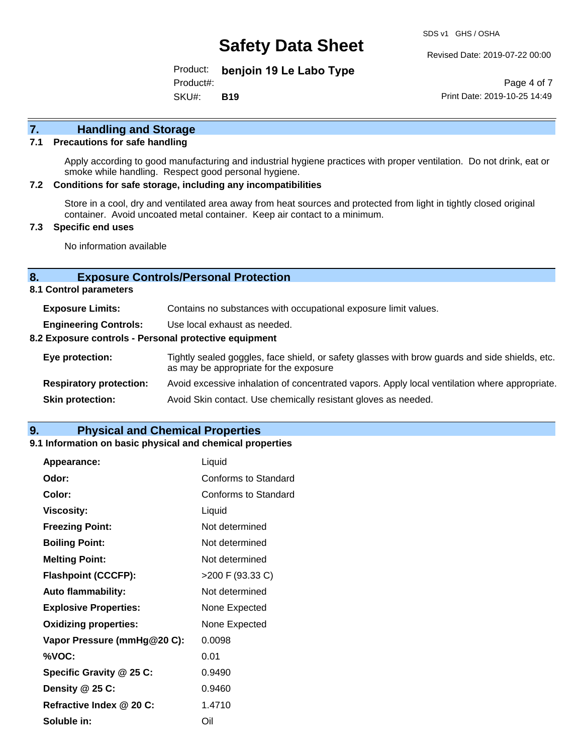SDS v1 GHS / OSHA

Revised Date: 2019-07-22 00:00

Product: **benjoin 19 Le Labo Type** SKU#: Product#: **B19**

Page 4 of 7 Print Date: 2019-10-25 14:49

# **7. Handling and Storage**

#### **7.1 Precautions for safe handling**

Apply according to good manufacturing and industrial hygiene practices with proper ventilation. Do not drink, eat or smoke while handling. Respect good personal hygiene.

#### **7.2 Conditions for safe storage, including any incompatibilities**

Store in a cool, dry and ventilated area away from heat sources and protected from light in tightly closed original container. Avoid uncoated metal container. Keep air contact to a minimum.

#### **7.3 Specific end uses**

No information available

#### **8. Exposure Controls/Personal Protection**

**8.1 Control parameters**

| <b>Exposure Limits:</b>                               | Contains no substances with occupational exposure limit values.                                                                          |  |  |
|-------------------------------------------------------|------------------------------------------------------------------------------------------------------------------------------------------|--|--|
| <b>Engineering Controls:</b>                          | Use local exhaust as needed.                                                                                                             |  |  |
| 8.2 Exposure controls - Personal protective equipment |                                                                                                                                          |  |  |
| Eye protection:                                       | Tightly sealed goggles, face shield, or safety glasses with brow guards and side shields, etc.<br>as may be appropriate for the exposure |  |  |
| <b>Respiratory protection:</b>                        | Avoid excessive inhalation of concentrated vapors. Apply local ventilation where appropriate.                                            |  |  |
| <b>Skin protection:</b>                               | Avoid Skin contact. Use chemically resistant gloves as needed.                                                                           |  |  |

### **9. Physical and Chemical Properties**

#### **9.1 Information on basic physical and chemical properties**

| Appearance:                  | Liquid               |
|------------------------------|----------------------|
| Odor:                        | Conforms to Standard |
| Color:                       | Conforms to Standard |
| <b>Viscosity:</b>            | Liquid               |
| <b>Freezing Point:</b>       | Not determined       |
| <b>Boiling Point:</b>        | Not determined       |
| <b>Melting Point:</b>        | Not determined       |
| <b>Flashpoint (CCCFP):</b>   | >200 F (93.33 C)     |
| <b>Auto flammability:</b>    | Not determined       |
| <b>Explosive Properties:</b> | None Expected        |
| <b>Oxidizing properties:</b> | None Expected        |
| Vapor Pressure (mmHg@20 C):  | 0.0098               |
| %VOC:                        | 0.01                 |
| Specific Gravity @ 25 C:     | 0.9490               |
| Density @ 25 C:              | 0.9460               |
| Refractive Index @ 20 C:     | 1.4710               |
| Soluble in:                  | Oil                  |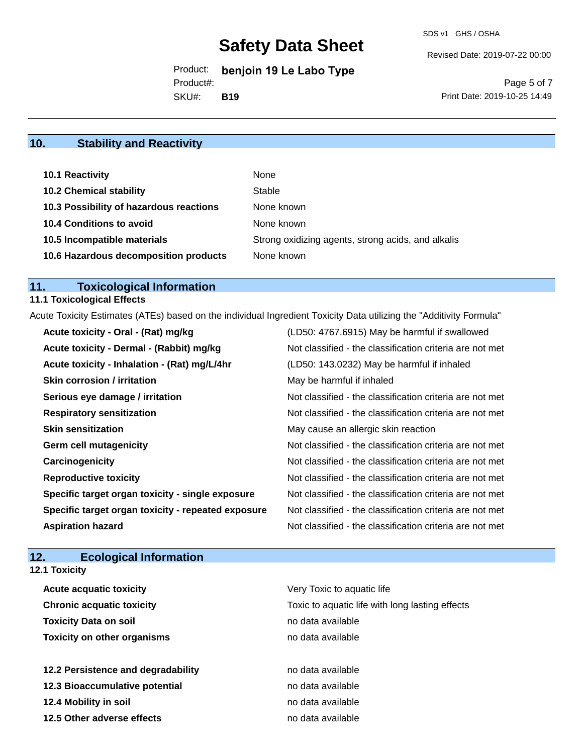Revised Date: 2019-07-22 00:00

Product: **benjoin 19 Le Labo Type** Product#:

SKU#: **B19**

Page 5 of 7 Print Date: 2019-10-25 14:49

# **10. Stability and Reactivity**

| 10.1 Reactivity                         | None                                               |
|-----------------------------------------|----------------------------------------------------|
| <b>10.2 Chemical stability</b>          | Stable                                             |
| 10.3 Possibility of hazardous reactions | None known                                         |
| <b>10.4 Conditions to avoid</b>         | None known                                         |
| 10.5 Incompatible materials             | Strong oxidizing agents, strong acids, and alkalis |
| 10.6 Hazardous decomposition products   | None known                                         |

# **11. Toxicological Information**

### **11.1 Toxicological Effects**

Acute Toxicity Estimates (ATEs) based on the individual Ingredient Toxicity Data utilizing the "Additivity Formula"

| Acute toxicity - Oral - (Rat) mg/kg                | (LD50: 4767.6915) May be harmful if swallowed            |
|----------------------------------------------------|----------------------------------------------------------|
| Acute toxicity - Dermal - (Rabbit) mg/kg           | Not classified - the classification criteria are not met |
| Acute toxicity - Inhalation - (Rat) mg/L/4hr       | (LD50: 143.0232) May be harmful if inhaled               |
| <b>Skin corrosion / irritation</b>                 | May be harmful if inhaled                                |
| Serious eye damage / irritation                    | Not classified - the classification criteria are not met |
| <b>Respiratory sensitization</b>                   | Not classified - the classification criteria are not met |
| <b>Skin sensitization</b>                          | May cause an allergic skin reaction                      |
| <b>Germ cell mutagenicity</b>                      | Not classified - the classification criteria are not met |
| Carcinogenicity                                    | Not classified - the classification criteria are not met |
| <b>Reproductive toxicity</b>                       | Not classified - the classification criteria are not met |
| Specific target organ toxicity - single exposure   | Not classified - the classification criteria are not met |
| Specific target organ toxicity - repeated exposure | Not classified - the classification criteria are not met |
| <b>Aspiration hazard</b>                           | Not classified - the classification criteria are not met |

# **12. Ecological Information**

| <b>12.1 Toxicity</b>               |                                                 |
|------------------------------------|-------------------------------------------------|
| Acute acquatic toxicity            | Very Toxic to aquatic life                      |
| <b>Chronic acquatic toxicity</b>   | Toxic to aquatic life with long lasting effects |
| <b>Toxicity Data on soil</b>       | no data available                               |
| <b>Toxicity on other organisms</b> | no data available                               |
| 12.2 Persistence and degradability | no data available                               |
| 12.3 Bioaccumulative potential     | no data available                               |
| 12.4 Mobility in soil              | no data available                               |
| 12.5 Other adverse effects         | no data available                               |
|                                    |                                                 |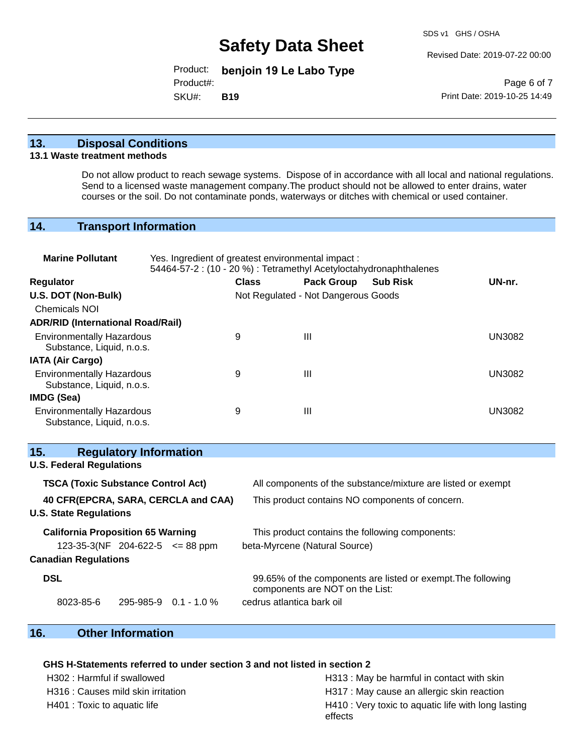SDS v1 GHS / OSHA

Revised Date: 2019-07-22 00:00

Product: **benjoin 19 Le Labo Type**

Product#:

SKU#: **B19**

Page 6 of 7 Print Date: 2019-10-25 14:49

### **13. Disposal Conditions**

#### **13.1 Waste treatment methods**

Do not allow product to reach sewage systems. Dispose of in accordance with all local and national regulations. Send to a licensed waste management company.The product should not be allowed to enter drains, water courses or the soil. Do not contaminate ponds, waterways or ditches with chemical or used container.

### **14. Transport Information**

| <b>Marine Pollutant</b>                                                                                                 | Yes. Ingredient of greatest environmental impact:<br>54464-57-2 : (10 - 20 %) : Tetramethyl Acetyloctahydronaphthalenes |                           |                                     |                                                              |               |
|-------------------------------------------------------------------------------------------------------------------------|-------------------------------------------------------------------------------------------------------------------------|---------------------------|-------------------------------------|--------------------------------------------------------------|---------------|
| Regulator                                                                                                               |                                                                                                                         | <b>Class</b>              | <b>Pack Group</b>                   | <b>Sub Risk</b>                                              | UN-nr.        |
| U.S. DOT (Non-Bulk)                                                                                                     |                                                                                                                         |                           | Not Regulated - Not Dangerous Goods |                                                              |               |
| <b>Chemicals NOI</b>                                                                                                    |                                                                                                                         |                           |                                     |                                                              |               |
| <b>ADR/RID (International Road/Rail)</b>                                                                                |                                                                                                                         |                           |                                     |                                                              |               |
| <b>Environmentally Hazardous</b><br>Substance, Liquid, n.o.s.                                                           |                                                                                                                         | 9                         | Ш                                   |                                                              | <b>UN3082</b> |
| <b>IATA (Air Cargo)</b>                                                                                                 |                                                                                                                         |                           |                                     |                                                              |               |
| <b>Environmentally Hazardous</b><br>Substance, Liquid, n.o.s.                                                           |                                                                                                                         | 9                         | $\mathbf{III}$                      |                                                              | <b>UN3082</b> |
| IMDG (Sea)                                                                                                              |                                                                                                                         |                           |                                     |                                                              |               |
| <b>Environmentally Hazardous</b><br>Substance, Liquid, n.o.s.                                                           |                                                                                                                         | 9                         | $\mathbf{III}$                      |                                                              | <b>UN3082</b> |
| <b>Regulatory Information</b><br>15.<br><b>U.S. Federal Regulations</b>                                                 |                                                                                                                         |                           |                                     |                                                              |               |
|                                                                                                                         |                                                                                                                         |                           |                                     |                                                              |               |
| <b>TSCA (Toxic Substance Control Act)</b>                                                                               |                                                                                                                         |                           |                                     | All components of the substance/mixture are listed or exempt |               |
| 40 CFR(EPCRA, SARA, CERCLA and CAA)<br>This product contains NO components of concern.<br><b>U.S. State Regulations</b> |                                                                                                                         |                           |                                     |                                                              |               |
| <b>California Proposition 65 Warning</b>                                                                                |                                                                                                                         |                           |                                     | This product contains the following components:              |               |
| 123-35-3(NF 204-622-5 $\leq$ 88 ppm                                                                                     |                                                                                                                         |                           | beta-Myrcene (Natural Source)       |                                                              |               |
| <b>Canadian Regulations</b>                                                                                             |                                                                                                                         |                           |                                     |                                                              |               |
| <b>DSL</b>                                                                                                              |                                                                                                                         |                           | components are NOT on the List:     | 99.65% of the components are listed or exempt. The following |               |
| 8023-85-6                                                                                                               | 295-985-9 0.1 - 1.0 %                                                                                                   | cedrus atlantica bark oil |                                     |                                                              |               |

# **16. Other Information**

#### **GHS H-Statements referred to under section 3 and not listed in section 2**

H302 : Harmful if swallowed H313 : May be harmful in contact with skin H316 : Causes mild skin irritation **H317** : May cause an allergic skin reaction H401 : Toxic to aquatic life **H410** : Very toxic to aquatic life with long lasting effects